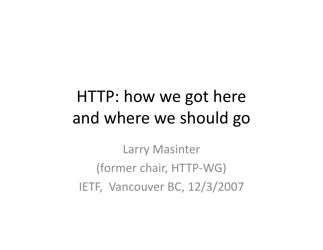### HTTP: how we got here and where we should go

Larry Masinter (former chair, HTTP-WG) IETF, Vancouver BC, 12/3/2007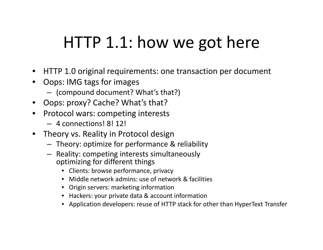# HTTP 1.1: how we got here

- HTTP 1.0 original requirements: one transaction per document
- • Oops: IMG tags for images
	- (compound document? What's that?)
- •Oops: proxy? Cache? What's that?
- • Protocol wars: competing interests
	- 4 connections! 8! 12!
- • Theory vs. Reality in Protocol design
	- Theory: optimize for performance & reliability
	- Reality: competing interests simultaneously optimizing for different things
		- Clients: browse performance, privacy
		- $\bullet$ Middle network admins: use of network & facilities
		- Origin servers: marketing information
		- Hackers: your private data & account information
		- Application developers: reuse of HTTP stack for other than HyperText Transfer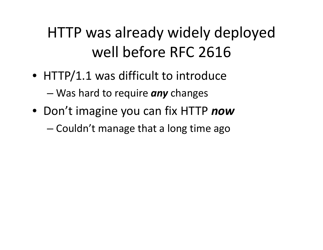#### HTTP was already widely deployed well before RFC 2616

- HTTP/1.1 was difficult to introduce –Was hard to require *any* changes
- Don't imagine you can fix HTTP *now*

– $-$  Couldn't manage that a long time ago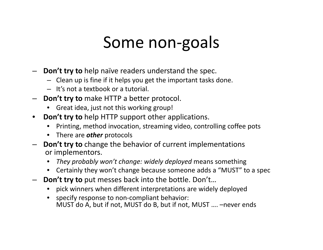#### Some non-goals

- **Don't try to** help naïve readers understand the spec.
	- Clean up is fine if it helps you get the important tasks done.
	- It's not a textbook or a tutorial.
- **Don't try to** make HTTP a better protocol.
	- •Great idea, just not this working group!
- • **Don't try to** help HTTP support other applications.
	- $\bullet$ Printing, method invocation, streaming video, controlling coffee pots
	- There are *other* protocols
- **Don't try to** change the behavior of current implementations or implementors.
	- $\bullet$ *They probably won't change: widely deployed* means something
	- $\bullet$ Certainly they won't change because someone adds a "MUST" to a spec
- **Don't try to** put messes back into the bottle. Don't…
	- •pick winners when different interpretations are widely deployed
	- specify response to non-compliant behavior: MUST do A, but if not, MUST do B, but if not, MUST …. –never ends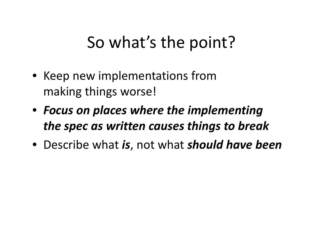# So what's the point?

- Keep new implementations from making things worse!
- *Focus on places where the implementing the spec as written causes things to break*
- Describe what *is*, not what *should have been*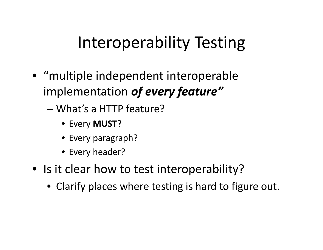### Interoperability Testing

- "multiple independent interoperable implementation *of every feature"*
	- What's a HTTP feature?
		- Every **MUST** ?
		- Every paragraph?
		- Every header?
- Is it clear how to test interoperability?
	- Clarify places where testing is hard to figure out.